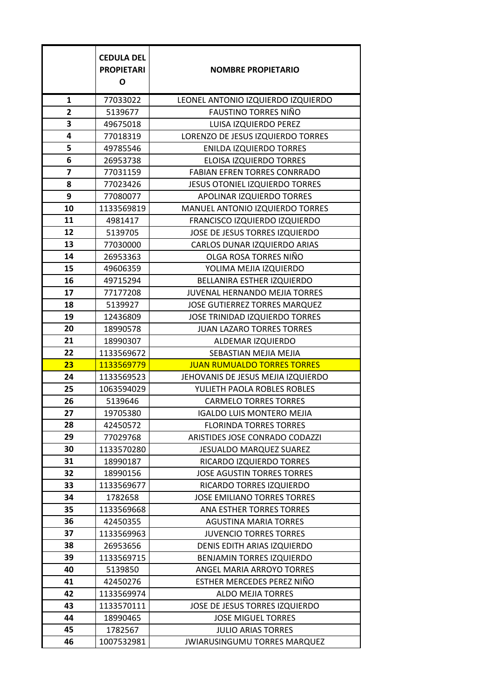|                         | <b>CEDULA DEL</b><br><b>PROPIETARI</b><br>O | <b>NOMBRE PROPIETARIO</b>             |
|-------------------------|---------------------------------------------|---------------------------------------|
| $\mathbf{1}$            | 77033022                                    | LEONEL ANTONIO IZQUIERDO IZQUIERDO    |
| 2                       | 5139677                                     | <b>FAUSTINO TORRES NIÑO</b>           |
| 3                       | 49675018                                    | LUISA IZQUIERDO PEREZ                 |
| 4                       | 77018319                                    | LORENZO DE JESUS IZQUIERDO TORRES     |
| 5                       | 49785546                                    | <b>ENILDA IZQUIERDO TORRES</b>        |
| 6                       | 26953738                                    | ELOISA IZQUIERDO TORRES               |
| $\overline{\mathbf{z}}$ | 77031159                                    | <b>FABIAN EFREN TORRES CONRRADO</b>   |
| 8                       | 77023426                                    | <b>JESUS OTONIEL IZQUIERDO TORRES</b> |
| 9                       | 77080077                                    | APOLINAR IZQUIERDO TORRES             |
| 10                      | 1133569819                                  | MANUEL ANTONIO IZQUIERDO TORRES       |
| 11                      | 4981417                                     | FRANCISCO IZQUIERDO IZQUIERDO         |
| 12                      | 5139705                                     | JOSE DE JESUS TORRES IZQUIERDO        |
| 13                      | 77030000                                    | CARLOS DUNAR IZQUIERDO ARIAS          |
| 14                      | 26953363                                    | OLGA ROSA TORRES NIÑO                 |
| 15                      | 49606359                                    | YOLIMA MEJIA IZQUIERDO                |
| 16                      | 49715294                                    | BELLANIRA ESTHER IZQUIERDO            |
| 17                      | 77177208                                    | JUVENAL HERNANDO MEJIA TORRES         |
| 18                      | 5139927                                     | JOSE GUTIERREZ TORRES MARQUEZ         |
| 19                      | 12436809                                    | JOSE TRINIDAD IZQUIERDO TORRES        |
| 20                      | 18990578                                    | <b>JUAN LAZARO TORRES TORRES</b>      |
| 21                      | 18990307                                    | ALDEMAR IZQUIERDO                     |
| 22                      | 1133569672                                  | SEBASTIAN MEJIA MEJIA                 |
| 23                      | 1133569779                                  | <b>JUAN RUMUALDO TORRES TORRES</b>    |
| 24                      | 1133569523                                  | JEHOVANIS DE JESUS MEJIA IZQUIERDO    |
| 25                      | 1063594029                                  | YULIETH PAOLA ROBLES ROBLES           |
| 26                      | 5139646                                     | <b>CARMELO TORRES TORRES</b>          |
| 27                      | 19705380                                    | <b>IGALDO LUIS MONTERO MEJIA</b>      |
| 28                      | 42450572                                    | <b>FLORINDA TORRES TORRES</b>         |
| 29                      | 77029768                                    | ARISTIDES JOSE CONRADO CODAZZI        |
| 30                      | 1133570280                                  | <b>JESUALDO MARQUEZ SUAREZ</b>        |
| 31                      | 18990187                                    | RICARDO IZQUIERDO TORRES              |
| 32                      | 18990156                                    | <b>JOSE AGUSTIN TORRES TORRES</b>     |
| 33                      | 1133569677                                  | RICARDO TORRES IZQUIERDO              |
| 34                      | 1782658                                     | <b>JOSE EMILIANO TORRES TORRES</b>    |
| 35                      | 1133569668                                  | <b>ANA ESTHER TORRES TORRES</b>       |
| 36                      | 42450355                                    | <b>AGUSTINA MARIA TORRES</b>          |
| 37                      | 1133569963                                  | <b>JUVENCIO TORRES TORRES</b>         |
| 38                      | 26953656                                    | DENIS EDITH ARIAS IZQUIERDO           |
| 39                      | 1133569715                                  | <b>BENJAMIN TORRES IZQUIERDO</b>      |
| 40                      | 5139850                                     | ANGEL MARIA ARROYO TORRES             |
| 41                      | 42450276                                    | ESTHER MERCEDES PEREZ NIÑO            |
| 42                      | 1133569974                                  | <b>ALDO MEJIA TORRES</b>              |
| 43                      | 1133570111                                  | JOSE DE JESUS TORRES IZQUIERDO        |
| 44                      | 18990465                                    | <b>JOSE MIGUEL TORRES</b>             |
| 45                      | 1782567                                     | <b>JULIO ARIAS TORRES</b>             |
| 46                      | 1007532981                                  | JWIARUSINGUMU TORRES MARQUEZ          |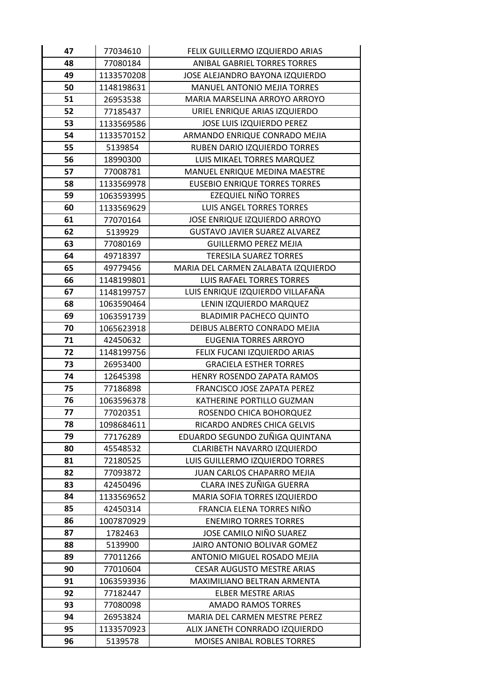| 47 | 77034610   | FELIX GUILLERMO IZQUIERDO ARIAS      |
|----|------------|--------------------------------------|
| 48 | 77080184   | ANIBAL GABRIEL TORRES TORRES         |
| 49 | 1133570208 | JOSE ALEJANDRO BAYONA IZQUIERDO      |
| 50 | 1148198631 | <b>MANUEL ANTONIO MEJIA TORRES</b>   |
| 51 | 26953538   | MARIA MARSELINA ARROYO ARROYO        |
| 52 | 77185437   | URIEL ENRIQUE ARIAS IZQUIERDO        |
| 53 | 1133569586 | JOSE LUIS IZQUIERDO PEREZ            |
| 54 | 1133570152 | ARMANDO ENRIQUE CONRADO MEJIA        |
| 55 | 5139854    | RUBEN DARIO IZQUIERDO TORRES         |
| 56 | 18990300   | LUIS MIKAEL TORRES MARQUEZ           |
| 57 | 77008781   | MANUEL ENRIQUE MEDINA MAESTRE        |
| 58 | 1133569978 | <b>EUSEBIO ENRIQUE TORRES TORRES</b> |
| 59 | 1063593995 | EZEQUIEL NIÑO TORRES                 |
| 60 | 1133569629 | <b>LUIS ANGEL TORRES TORRES</b>      |
| 61 | 77070164   | JOSE ENRIQUE IZQUIERDO ARROYO        |
| 62 | 5139929    | <b>GUSTAVO JAVIER SUAREZ ALVAREZ</b> |
| 63 | 77080169   | <b>GUILLERMO PEREZ MEJIA</b>         |
| 64 | 49718397   | <b>TERESILA SUAREZ TORRES</b>        |
| 65 | 49779456   | MARIA DEL CARMEN ZALABATA IZQUIERDO  |
| 66 | 1148199801 | <b>LUIS RAFAEL TORRES TORRES</b>     |
| 67 | 1148199757 | LUIS ENRIQUE IZQUIERDO VILLAFAÑA     |
| 68 | 1063590464 | LENIN IZQUIERDO MARQUEZ              |
| 69 | 1063591739 | <b>BLADIMIR PACHECO QUINTO</b>       |
| 70 | 1065623918 | DEIBUS ALBERTO CONRADO MEJIA         |
| 71 | 42450632   | <b>EUGENIA TORRES ARROYO</b>         |
| 72 | 1148199756 | FELIX FUCANI IZQUIERDO ARIAS         |
| 73 | 26953400   | <b>GRACIELA ESTHER TORRES</b>        |
| 74 | 12645398   | HENRY ROSENDO ZAPATA RAMOS           |
| 75 | 77186898   | FRANCISCO JOSE ZAPATA PEREZ          |
| 76 | 1063596378 | KATHERINE PORTILLO GUZMAN            |
| 77 | 77020351   | ROSENDO CHICA BOHORQUEZ              |
| 78 | 1098684611 | RICARDO ANDRES CHICA GELVIS          |
| 79 | 77176289   | EDUARDO SEGUNDO ZUÑIGA QUINTANA      |
| 80 | 45548532   | <b>CLARIBETH NAVARRO IZQUIERDO</b>   |
| 81 | 72180525   | LUIS GUILLERMO IZQUIERDO TORRES      |
| 82 | 77093872   | JUAN CARLOS CHAPARRO MEJIA           |
| 83 | 42450496   | CLARA INES ZUÑIGA GUERRA             |
| 84 | 1133569652 | MARIA SOFIA TORRES IZQUIERDO         |
| 85 | 42450314   | FRANCIA ELENA TORRES NIÑO            |
| 86 | 1007870929 | <b>ENEMIRO TORRES TORRES</b>         |
| 87 | 1782463    | JOSE CAMILO NIÑO SUAREZ              |
| 88 | 5139900    | JAIRO ANTONIO BOLIVAR GOMEZ          |
| 89 | 77011266   | ANTONIO MIGUEL ROSADO MEJIA          |
| 90 | 77010604   | <b>CESAR AUGUSTO MESTRE ARIAS</b>    |
| 91 | 1063593936 | MAXIMILIANO BELTRAN ARMENTA          |
| 92 | 77182447   | <b>ELBER MESTRE ARIAS</b>            |
| 93 | 77080098   | <b>AMADO RAMOS TORRES</b>            |
| 94 | 26953824   | MARIA DEL CARMEN MESTRE PEREZ        |
| 95 | 1133570923 | ALIX JANETH CONRRADO IZQUIERDO       |
| 96 | 5139578    | MOISES ANIBAL ROBLES TORRES          |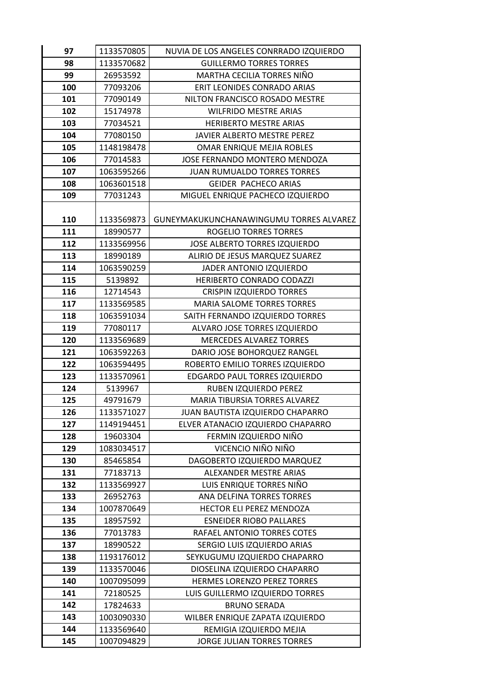| 97  | 1133570805 | NUVIA DE LOS ANGELES CONRRADO IZQUIERDO |
|-----|------------|-----------------------------------------|
| 98  | 1133570682 | <b>GUILLERMO TORRES TORRES</b>          |
| 99  | 26953592   | MARTHA CECILIA TORRES NIÑO              |
| 100 | 77093206   | ERIT LEONIDES CONRADO ARIAS             |
| 101 | 77090149   | NILTON FRANCISCO ROSADO MESTRE          |
| 102 | 15174978   | <b>WILFRIDO MESTRE ARIAS</b>            |
| 103 | 77034521   | HERIBERTO MESTRE ARIAS                  |
| 104 | 77080150   | JAVIER ALBERTO MESTRE PEREZ             |
| 105 | 1148198478 | OMAR ENRIQUE MEJIA ROBLES               |
| 106 | 77014583   | JOSE FERNANDO MONTERO MENDOZA           |
| 107 | 1063595266 | <b>JUAN RUMUALDO TORRES TORRES</b>      |
| 108 | 1063601518 | GEIDER PACHECO ARIAS                    |
| 109 | 77031243   | MIGUEL ENRIQUE PACHECO IZQUIERDO        |
| 110 | 1133569873 | GUNEYMAKUKUNCHANAWINGUMU TORRES ALVAREZ |
| 111 | 18990577   | <b>ROGELIO TORRES TORRES</b>            |
| 112 | 1133569956 | JOSE ALBERTO TORRES IZQUIERDO           |
| 113 | 18990189   | ALIRIO DE JESUS MARQUEZ SUAREZ          |
| 114 | 1063590259 | JADER ANTONIO IZQUIERDO                 |
| 115 | 5139892    | HERIBERTO CONRADO CODAZZI               |
| 116 | 12714543   | <b>CRISPIN IZQUIERDO TORRES</b>         |
| 117 | 1133569585 | <b>MARIA SALOME TORRES TORRES</b>       |
| 118 | 1063591034 | SAITH FERNANDO IZQUIERDO TORRES         |
| 119 | 77080117   | ALVARO JOSE TORRES IZQUIERDO            |
| 120 | 1133569689 | <b>MERCEDES ALVAREZ TORRES</b>          |
| 121 | 1063592263 | DARIO JOSE BOHORQUEZ RANGEL             |
| 122 | 1063594495 | ROBERTO EMILIO TORRES IZQUIERDO         |
| 123 | 1133570961 | EDGARDO PAUL TORRES IZQUIERDO           |
| 124 | 5139967    | RUBEN IZQUIERDO PEREZ                   |
| 125 | 49791679   | <b>MARIA TIBURSIA TORRES ALVAREZ</b>    |
| 126 | 1133571027 | JUAN BAUTISTA IZQUIERDO CHAPARRO        |
| 127 | 1149194451 | ELVER ATANACIO IZQUIERDO CHAPARRO       |
| 128 | 19603304   | FERMIN IZQUIERDO NIÑO                   |
| 129 | 1083034517 | VICENCIO NIÑO NIÑO                      |
| 130 | 85465854   | DAGOBERTO IZQUIERDO MARQUEZ             |
| 131 | 77183713   | ALEXANDER MESTRE ARIAS                  |
| 132 | 1133569927 | LUIS ENRIQUE TORRES NIÑO                |
| 133 | 26952763   | ANA DELFINA TORRES TORRES               |
| 134 | 1007870649 | HECTOR ELI PEREZ MENDOZA                |
| 135 | 18957592   | <b>ESNEIDER RIOBO PALLARES</b>          |
| 136 | 77013783   | RAFAEL ANTONIO TORRES COTES             |
| 137 | 18990522   | SERGIO LUIS IZQUIERDO ARIAS             |
| 138 | 1193176012 | SEYKUGUMU IZQUIERDO CHAPARRO            |
| 139 | 1133570046 | DIOSELINA IZQUIERDO CHAPARRO            |
| 140 | 1007095099 | HERMES LORENZO PEREZ TORRES             |
| 141 | 72180525   | LUIS GUILLERMO IZQUIERDO TORRES         |
| 142 | 17824633   | <b>BRUNO SERADA</b>                     |
| 143 | 1003090330 | WILBER ENRIQUE ZAPATA IZQUIERDO         |
| 144 | 1133569640 | REMIGIA IZQUIERDO MEJIA                 |
| 145 | 1007094829 | JORGE JULIAN TORRES TORRES              |
|     |            |                                         |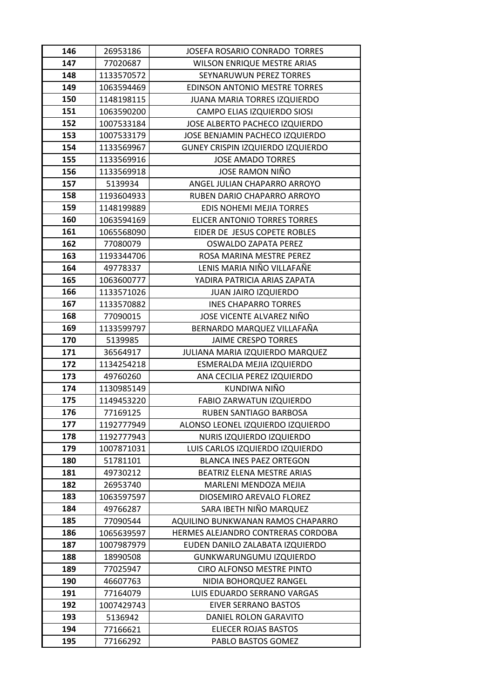| 146 | 26953186   | JOSEFA ROSARIO CONRADO TORRES        |
|-----|------------|--------------------------------------|
| 147 | 77020687   | WILSON ENRIQUE MESTRE ARIAS          |
| 148 | 1133570572 | SEYNARUWUN PEREZ TORRES              |
| 149 | 1063594469 | <b>EDINSON ANTONIO MESTRE TORRES</b> |
| 150 | 1148198115 | <b>JUANA MARIA TORRES IZQUIERDO</b>  |
| 151 | 1063590200 | CAMPO ELIAS IZQUIERDO SIOSI          |
| 152 | 1007533184 | JOSE ALBERTO PACHECO IZQUIERDO       |
| 153 | 1007533179 | JOSE BENJAMIN PACHECO IZQUIERDO      |
| 154 | 1133569967 | GUNEY CRISPIN IZQUIERDO IZQUIERDO    |
| 155 | 1133569916 | <b>JOSE AMADO TORRES</b>             |
| 156 | 1133569918 | JOSE RAMON NIÑO                      |
| 157 | 5139934    | ANGEL JULIAN CHAPARRO ARROYO         |
| 158 | 1193604933 | RUBEN DARIO CHAPARRO ARROYO          |
| 159 | 1148199889 | <b>EDIS NOHEMI MEJIA TORRES</b>      |
| 160 | 1063594169 | <b>ELICER ANTONIO TORRES TORRES</b>  |
| 161 | 1065568090 | EIDER DE JESUS COPETE ROBLES         |
| 162 | 77080079   | <b>OSWALDO ZAPATA PEREZ</b>          |
| 163 | 1193344706 | ROSA MARINA MESTRE PEREZ             |
| 164 | 49778337   | LENIS MARIA NIÑO VILLAFAÑE           |
| 165 | 1063600777 | YADIRA PATRICIA ARIAS ZAPATA         |
| 166 | 1133571026 | JUAN JAIRO IZQUIERDO                 |
| 167 | 1133570882 | <b>INES CHAPARRO TORRES</b>          |
| 168 | 77090015   | JOSE VICENTE ALVAREZ NIÑO            |
| 169 | 1133599797 | BERNARDO MARQUEZ VILLAFAÑA           |
| 170 | 5139985    | <b>JAIME CRESPO TORRES</b>           |
| 171 | 36564917   | JULIANA MARIA IZQUIERDO MARQUEZ      |
| 172 | 1134254218 | ESMERALDA MEJIA IZQUIERDO            |
| 173 | 49760260   | ANA CECILIA PEREZ IZQUIERDO          |
| 174 | 1130985149 | KUNDIWA NIÑO                         |
| 175 | 1149453220 | FABIO ZARWATUN IZQUIERDO             |
| 176 | 77169125   | <b>RUBEN SANTIAGO BARBOSA</b>        |
| 177 | 1192777949 | ALONSO LEONEL IZQUIERDO IZQUIERDO    |
| 178 | 1192777943 | NURIS IZQUIERDO IZQUIERDO            |
| 179 | 1007871031 | LUIS CARLOS IZQUIERDO IZQUIERDO      |
| 180 | 51781101   | <b>BLANCA INES PAEZ ORTEGON</b>      |
| 181 | 49730212   | BEATRIZ ELENA MESTRE ARIAS           |
| 182 | 26953740   | MARLENI MENDOZA MEJIA                |
| 183 | 1063597597 | DIOSEMIRO AREVALO FLOREZ             |
| 184 | 49766287   | SARA IBETH NIÑO MARQUEZ              |
| 185 | 77090544   | AQUILINO BUNKWANAN RAMOS CHAPARRO    |
| 186 | 1065639597 | HERMES ALEJANDRO CONTRERAS CORDOBA   |
| 187 | 1007987979 | EUDEN DANILO ZALABATA IZQUIERDO      |
| 188 | 18990508   | GUNKWARUNGUMU IZQUIERDO              |
| 189 | 77025947   | CIRO ALFONSO MESTRE PINTO            |
| 190 | 46607763   | NIDIA BOHORQUEZ RANGEL               |
| 191 | 77164079   | LUIS EDUARDO SERRANO VARGAS          |
| 192 | 1007429743 | <b>EIVER SERRANO BASTOS</b>          |
| 193 | 5136942    | DANIEL ROLON GARAVITO                |
| 194 | 77166621   | ELIECER ROJAS BASTOS                 |
| 195 | 77166292   | PABLO BASTOS GOMEZ                   |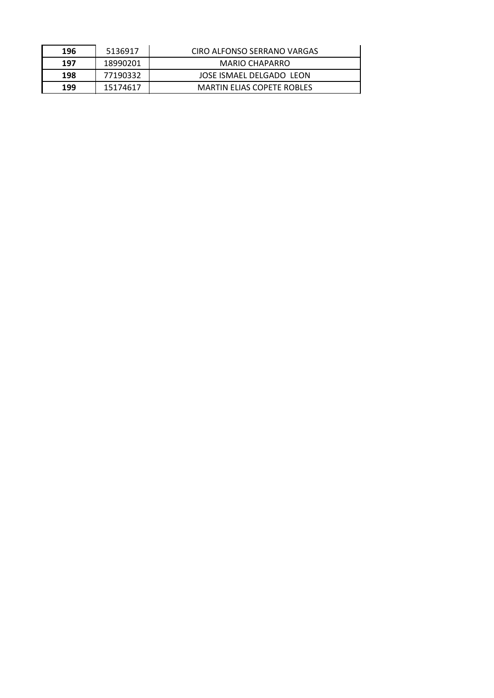| 196 | 5136917  | CIRO ALFONSO SERRANO VARGAS       |
|-----|----------|-----------------------------------|
| 197 | 18990201 | <b>MARIO CHAPARRO</b>             |
| 198 | 77190332 | JOSE ISMAEL DELGADO LEON          |
| 199 | 15174617 | <b>MARTIN ELIAS COPETE ROBLES</b> |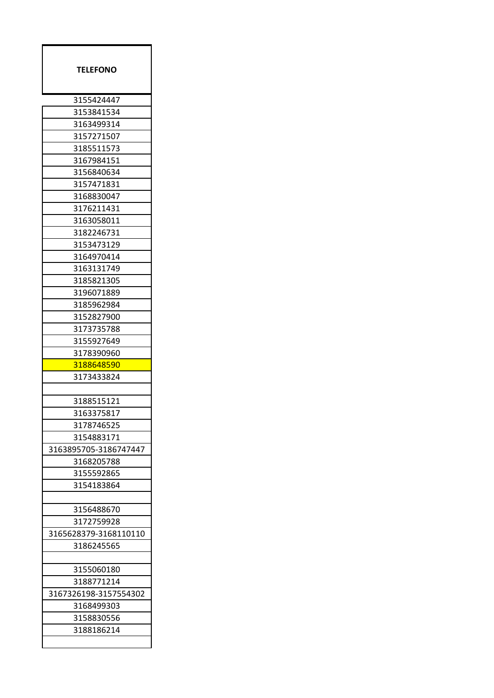| <b>TELEFONO</b>       |
|-----------------------|
| 3155424447            |
| 3153841534            |
| 3163499314            |
| 3157271507            |
| 3185511573            |
| 3167984151            |
| 3156840634            |
| 3157471831            |
| 3168830047            |
| 3176211431            |
| 3163058011            |
| 3182246731            |
| 3153473129            |
| 3164970414            |
| 3163131749            |
| 3185821305            |
| 3196071889            |
| 3185962984            |
| 3152827900            |
| 3173735788            |
| 3155927649            |
| 3178390960            |
| 3188648590            |
| 3173433824            |
|                       |
| 3188515121            |
| 3163375817            |
| 3178746525            |
| 3154883171            |
| 3163895705-3186747447 |
| 3168205788            |
| 3155592865            |
| 3154183864            |
|                       |
| 3156488670            |
| 3172759928            |
| 3165628379-3168110110 |
| 3186245565            |
|                       |
| 3155060180            |
| 3188771214            |
| 3167326198-3157554302 |
| 3168499303            |
| 3158830556            |
| 3188186214            |
|                       |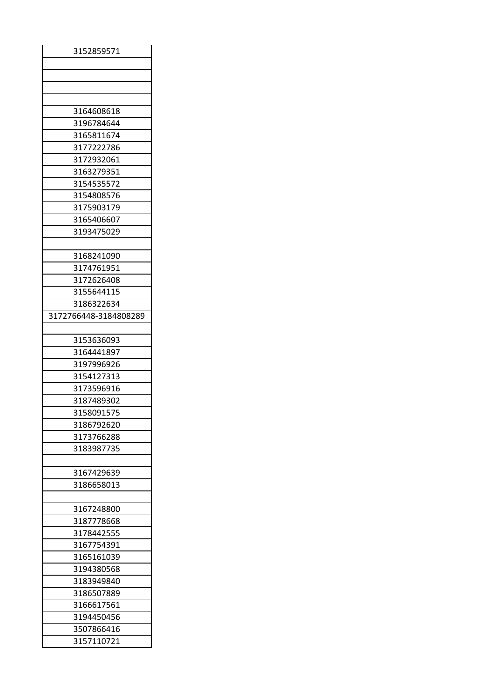| 3152859571               |
|--------------------------|
|                          |
|                          |
|                          |
|                          |
| 3164608618               |
| 3196784644               |
| 3165811674               |
| 3177222786               |
| 3172932061               |
| 3163279351               |
| 3154535572               |
| 3154808576               |
| 3175903179               |
| 3165406607               |
| 3193475029               |
|                          |
| 3168241090               |
| 3174761951               |
| 3172626408               |
| 3155644115               |
| 3186322634               |
| 3172766448-3184808289    |
|                          |
| 3153636093               |
| 3164441897               |
| 3197996926               |
|                          |
| 3154127313<br>3173596916 |
| 3187489302               |
|                          |
| 3158091575               |
| 3186792620               |
| 3173766288               |
| 3183987735               |
|                          |
| 3167429639               |
| 3186658013               |
|                          |
| 3167248800               |
| 3187778668               |
| 3178442555               |
| 3167754391               |
| 3165161039               |
|                          |
| 3194380568               |
| 3183949840               |
| 3186507889               |
| 3166617561               |
| 3194450456               |
| 3507866416               |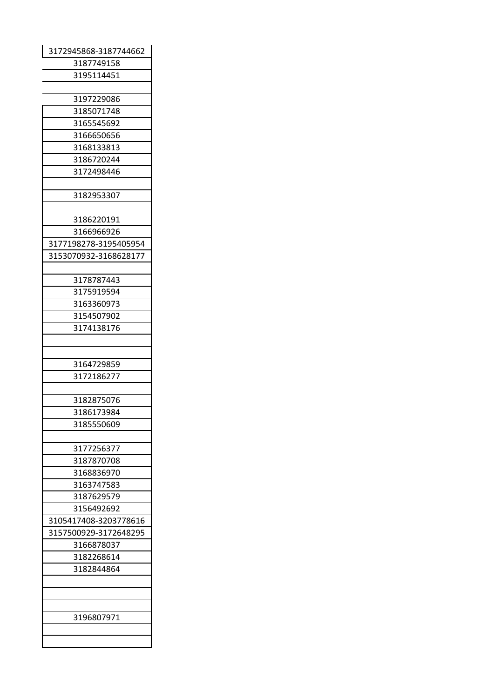| 3172945868-3187744662 |
|-----------------------|
| 3187749158            |
| 3195114451            |
|                       |
| 3197229086            |
| 3185071748            |
| 3165545692            |
| 3166650656            |
| 3168133813            |
| 3186720244            |
| 3172498446            |
|                       |
| 3182953307            |
|                       |
| 3186220191            |
| 3166966926            |
| 3177198278-3195405954 |
| 3153070932-3168628177 |
|                       |
| 3178787443            |
| 3175919594            |
| 3163360973            |
| 3154507902            |
| 3174138176            |
|                       |
|                       |
| 3164729859            |
| 3172186277            |
|                       |
| 3182875076            |
| 3186173984            |
| 3185550609            |
|                       |
| 3177256377            |
| 3187870708            |
| 3168836970            |
| 3163747583            |
| 3187629579            |
| 3156492692            |
| 3105417408-3203778616 |
| 3157500929-3172648295 |
| 3166878037            |
| 3182268614            |
| 3182844864            |
|                       |
|                       |
|                       |
| 3196807971            |
|                       |
|                       |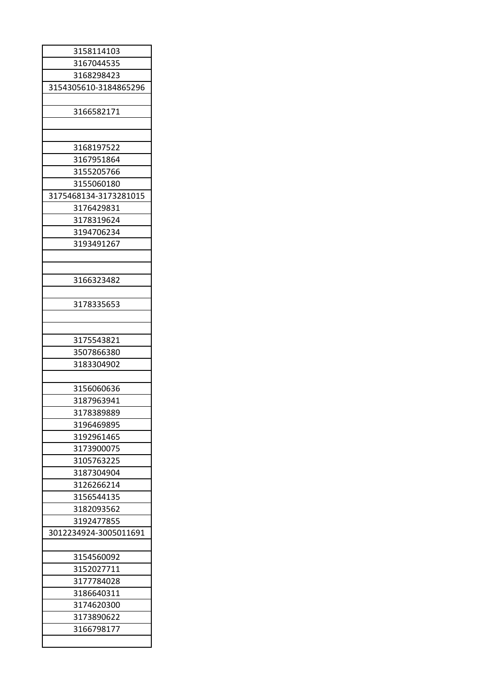| 3158114103            |
|-----------------------|
| 3167044535            |
| 3168298423            |
| 3154305610-3184865296 |
|                       |
| 3166582171            |
|                       |
|                       |
| 3168197522            |
| 3167951864            |
|                       |
| 3155205766            |
| 3155060180            |
| 3175468134-3173281015 |
| 3176429831            |
| 3178319624            |
| 3194706234            |
| 3193491267            |
|                       |
|                       |
| 3166323482            |
|                       |
| 3178335653            |
|                       |
|                       |
| 3175543821            |
| 3507866380            |
| 3183304902            |
|                       |
| 3156060636            |
|                       |
| 3187963941            |
| 3178389889            |
| 3196469895            |
| 3192961465            |
| 3173900075            |
| 3105763225            |
| 3187304904            |
| 3126266214            |
| 3156544135            |
| 3182093562            |
| 3192477855            |
| 3012234924-3005011691 |
|                       |
| 3154560092            |
| 3152027711            |
|                       |
| 3177784028            |
| 3186640311            |
| 3174620300            |
| 3173890622            |
| 3166798177            |
|                       |